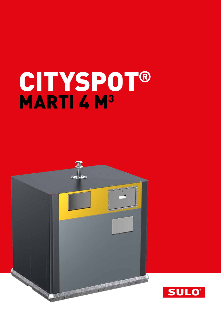# CITYSPOT® MARTI 4 M<sup>3</sup>



![](_page_0_Picture_2.jpeg)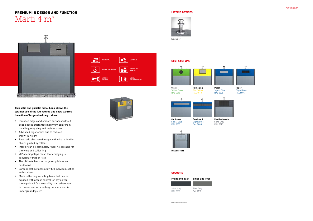### 稽 r BILATERAL **VERTICAL** PAY AS YOU DISABILITY ACCESS  $\frac{1}{\sqrt{6}}$   $\epsilon$  $\blacktriangleright$ ))  $(\bullet \bullet)$ ACCESS CONTROL LEVEL MEASUREMENT

![](_page_1_Picture_12.jpeg)

![](_page_1_Picture_27.jpeg)

![](_page_1_Picture_28.jpeg)

# PREMIUM IN DESIGN AND FUNCTION Marti 4 m3

# $\mathbb{I}$ ●以後の101分以上の時間の特徴の クリア エルダ

**This solid and puristic metal bank allows the optimal use of the full volume and obstacle-free insertion of large-sized recyclables** 

- Rounded edges and smooth surfaces without dead spaces guarantee maximum comfort in handling, emptying and maintenance
- **Advanced ergonomics due to reduced** throw-in-height
- Best ratio size-useable-space thanks to double chains guided by rollers
- **Interior can be completely filled, no obstacle for** throwing and collecting
- 90° opening flaps mean that emptying is completely friction-free
- The ultimate bank for large recyclables and cardboard
- Large metal surfaces allow full individualisation with stickers
- **Marti is the only recycling bank that can be** equiped with access control for pay as you throw policy. It´s moveability is an advantage in comparison with underground and semiundergroundsystem

![](_page_1_Picture_25.jpeg)

![](_page_1_Picture_13.jpeg)

![](_page_1_Picture_14.jpeg)

SLOT SYSTEMS\*

\* All slot Systems on demand

**Cardboard** Signal Blue RAL 5005

**Cardboard** Signal Blue

![](_page_1_Figure_16.jpeg)

![](_page_1_Figure_17.jpeg)

![](_page_1_Picture_18.jpeg)

RAL 5005

**Residual waste** Slate Grey RAL 7015

![](_page_1_Picture_22.jpeg)

**Paper** Signal Blue RAL 5005

**Big user Flap**

## **COLOURS**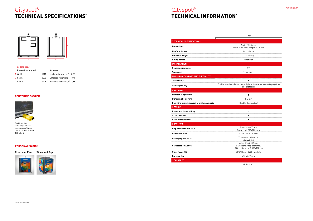# Cityspot® TECHNICAL SPECIFICATIONS\*

# Cityspot® TECHNICAL INFORMATION\*

![](_page_2_Picture_14.jpeg)

#### Marti 4m3

| Dimensions $\sim$ (mm) |      | <b>Volumes</b>                  |       |
|------------------------|------|---------------------------------|-------|
| A Width                | 1911 | Useful Volumes ~ $[m^3]$ 3,88   |       |
| <b>B</b> Height        | 2028 | Unloaded weight (kg)            | - 370 |
| C Depth                | 1508 | Space requirements $[m^2]$ 2,88 |       |

![](_page_2_Figure_1.jpeg)

|                                                  | $4 \text{ m}^3$                                                                         |  |  |
|--------------------------------------------------|-----------------------------------------------------------------------------------------|--|--|
| <b>TECHNICAL SPECIFICATIONS</b>                  |                                                                                         |  |  |
| <b>Dimensions</b>                                | Depth: 1508 mm,<br>Width: 1190 mm, Height: 2028 mm                                      |  |  |
| <b>Useful volumes</b>                            | $3,62-3,88$ m <sup>3</sup>                                                              |  |  |
| <b>Unloaded weigth</b>                           | 361-370 kg                                                                              |  |  |
| <b>Lifting device</b>                            | Kinshofer                                                                               |  |  |
| <b>INSTALLATION</b>                              |                                                                                         |  |  |
| <b>Space requirements</b>                        | 2.19                                                                                    |  |  |
| <b>Transport</b>                                 | 9 per truck                                                                             |  |  |
| HANDLING, COMFORT AND FLEXIBILITY                |                                                                                         |  |  |
| <b>Accesibility</b>                              | $\blacksquare$                                                                          |  |  |
| Sound-proofing                                   | Double skin installation: polyethylene foam + high density polyethy-<br>lene protection |  |  |
| <b>EMPTYING</b>                                  |                                                                                         |  |  |
| <b>Number of operators</b>                       | ٠                                                                                       |  |  |
| <b>Duration of emptying</b>                      | $1-2$ min                                                                               |  |  |
| <b>Emptying system according prehension grip</b> | Double flap, vertical                                                                   |  |  |
| <b>SERVICE</b>                                   |                                                                                         |  |  |
| Pay as you throw billing                         | $\blacksquare$                                                                          |  |  |
| <b>Access control</b>                            |                                                                                         |  |  |
| Level measurement                                |                                                                                         |  |  |
| <b>FRACTIONS</b>                                 |                                                                                         |  |  |
| Regular waste RAL 7015                           | Flap: 620x305 mm<br>Strap port: 620x330 mm                                              |  |  |
| Paper RAL 5005                                   | Valve: 490x110 mm                                                                       |  |  |
| Packaging RAL 1018                               | Valve: 400x230 mm or<br>620x305 mm                                                      |  |  |
| <b>Cardboard RAL 5005</b>                        | Valve: 1 200x110 mm<br>Cardboard strap openings:<br>1 200x110 mm or 1 530x110 mm        |  |  |
| Glass RAL 6018                                   | EPDM flap - Ø200 mm hole                                                                |  |  |
| Big user flap                                    | 620 x 327 mm                                                                            |  |  |
| <b>STANDARDS</b>                                 |                                                                                         |  |  |

NF EN 13071

#### CENTERING SYSTEM

![](_page_2_Picture_5.jpeg)

Facilitate the stations; so banks are always aligned at the same location 100 x 36,7

**Front and Rear Sides and Top**

![](_page_2_Picture_9.jpeg)

#### PERSONALISATION